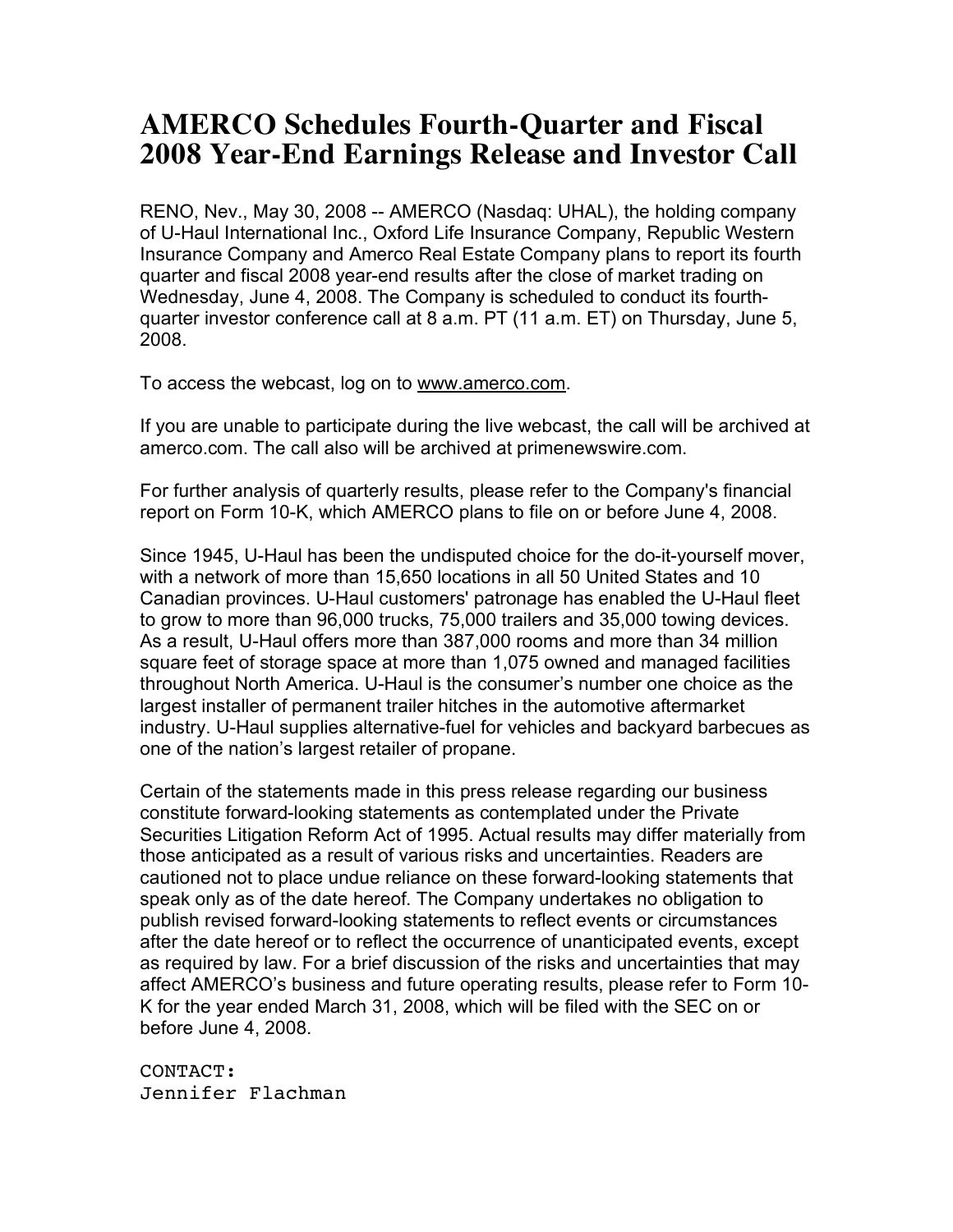## **AMERCO Schedules Fourth-Quarter and Fiscal 2008 Year-End Earnings Release and Investor Call**

RENO, Nev., May 30, 2008 -- AMERCO (Nasdaq: UHAL), the holding company of U-Haul International Inc., Oxford Life Insurance Company, Republic Western Insurance Company and Amerco Real Estate Company plans to report its fourth quarter and fiscal 2008 year-end results after the close of market trading on Wednesday, June 4, 2008. The Company is scheduled to conduct its fourthquarter investor conference call at 8 a.m. PT (11 a.m. ET) on Thursday, June 5, 2008.

To access the webcast, log on to www.amerco.com.

If you are unable to participate during the live webcast, the call will be archived at amerco.com. The call also will be archived at primenewswire.com.

For further analysis of quarterly results, please refer to the Company's financial report on Form 10-K, which AMERCO plans to file on or before June 4, 2008.

Since 1945, U-Haul has been the undisputed choice for the do-it-yourself mover, with a network of more than 15,650 locations in all 50 United States and 10 Canadian provinces. U-Haul customers' patronage has enabled the U-Haul fleet to grow to more than 96,000 trucks, 75,000 trailers and 35,000 towing devices. As a result, U-Haul offers more than 387,000 rooms and more than 34 million square feet of storage space at more than 1,075 owned and managed facilities throughout North America. U-Haul is the consumer's number one choice as the largest installer of permanent trailer hitches in the automotive aftermarket industry. U-Haul supplies alternative-fuel for vehicles and backyard barbecues as one of the nation's largest retailer of propane.

Certain of the statements made in this press release regarding our business constitute forward-looking statements as contemplated under the Private Securities Litigation Reform Act of 1995. Actual results may differ materially from those anticipated as a result of various risks and uncertainties. Readers are cautioned not to place undue reliance on these forward-looking statements that speak only as of the date hereof. The Company undertakes no obligation to publish revised forward-looking statements to reflect events or circumstances after the date hereof or to reflect the occurrence of unanticipated events, except as required by law. For a brief discussion of the risks and uncertainties that may affect AMERCO's business and future operating results, please refer to Form 10- K for the year ended March 31, 2008, which will be filed with the SEC on or before June 4, 2008.

CONTACT: Jennifer Flachman